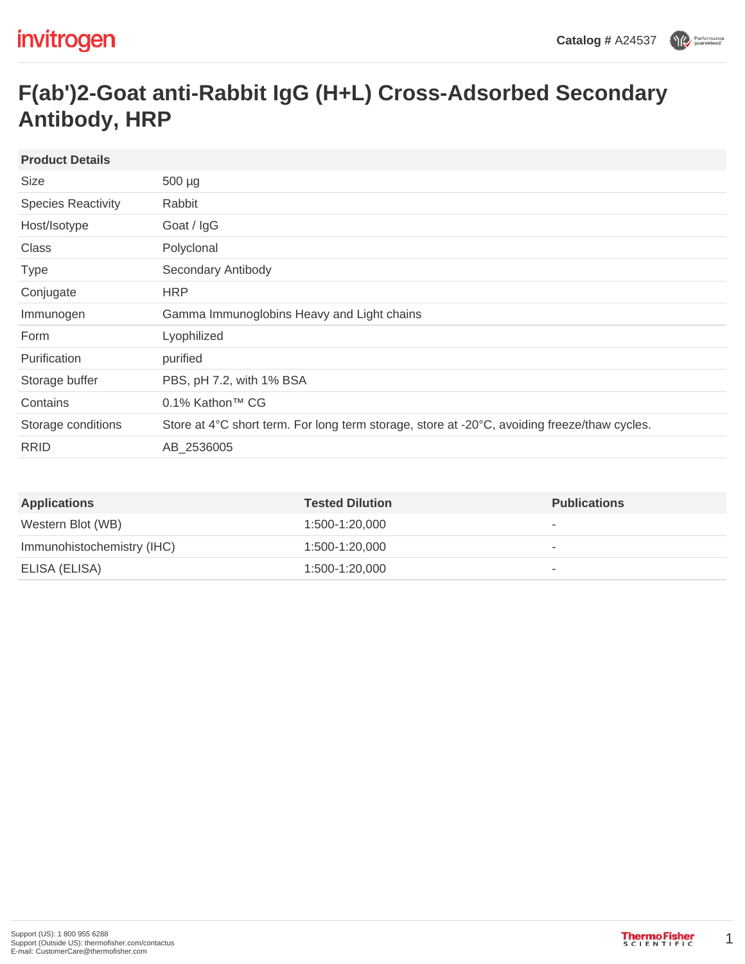## **F(ab')2-Goat anti-Rabbit IgG (H+L) Cross-Adsorbed Secondary Antibody, HRP**

| <b>Product Details</b>    |                                                                                              |
|---------------------------|----------------------------------------------------------------------------------------------|
| Size                      | $500 \mu g$                                                                                  |
| <b>Species Reactivity</b> | Rabbit                                                                                       |
| Host/Isotype              | Goat / IgG                                                                                   |
| Class                     | Polyclonal                                                                                   |
| <b>Type</b>               | Secondary Antibody                                                                           |
| Conjugate                 | <b>HRP</b>                                                                                   |
| Immunogen                 | Gamma Immunoglobins Heavy and Light chains                                                   |
| Form                      | Lyophilized                                                                                  |
| Purification              | purified                                                                                     |
| Storage buffer            | PBS, pH 7.2, with 1% BSA                                                                     |
| Contains                  | 0.1% Kathon™ CG                                                                              |
| Storage conditions        | Store at 4°C short term. For long term storage, store at -20°C, avoiding freeze/thaw cycles. |
| <b>RRID</b>               | AB_2536005                                                                                   |
|                           |                                                                                              |

| <b>Applications</b>        | <b>Tested Dilution</b> | <b>Publications</b>      |
|----------------------------|------------------------|--------------------------|
| Western Blot (WB)          | 1:500-1:20.000         |                          |
| Immunohistochemistry (IHC) | 1:500-1:20.000         | $\overline{\phantom{a}}$ |
| ELISA (ELISA)              | 1:500-1:20.000         | $\overline{\phantom{a}}$ |

1